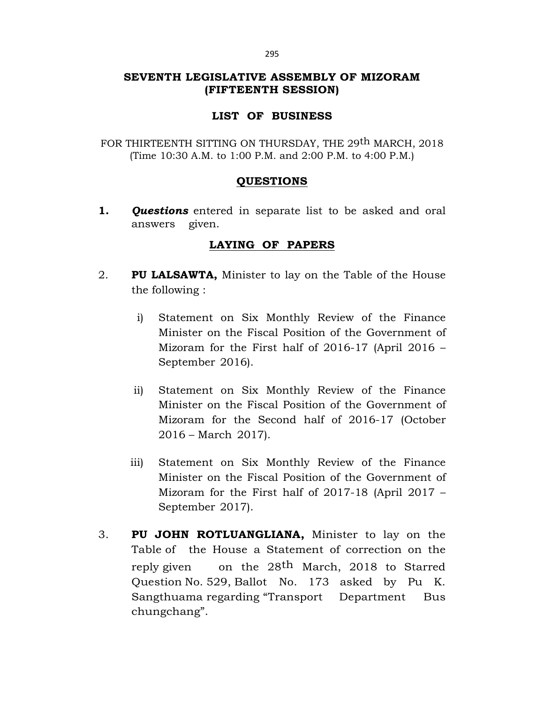# **SEVENTH LEGISLATIVE ASSEMBLY OF MIZORAM (FIFTEENTH SESSION)**

## **LIST OF BUSINESS**

FOR THIRTEENTH SITTING ON THURSDAY, THE 29<sup>th</sup> MARCH, 2018 (Time 10:30 A.M. to 1:00 P.M. and 2:00 P.M. to 4:00 P.M.)

## **QUESTIONS**

**1.** *Questions* entered in separate list to be asked and oral answers given.

## **LAYING OF PAPERS**

- 2. **PU LALSAWTA,** Minister to lay on the Table of the House the following :
	- i) Statement on Six Monthly Review of the Finance Minister on the Fiscal Position of the Government of Mizoram for the First half of 2016-17 (April 2016 – September 2016).
	- ii) Statement on Six Monthly Review of the Finance Minister on the Fiscal Position of the Government of Mizoram for the Second half of 2016-17 (October 2016 – March 2017).
	- iii) Statement on Six Monthly Review of the Finance Minister on the Fiscal Position of the Government of Mizoram for the First half of 2017-18 (April 2017 – September 2017).
- 3. **PU JOHN ROTLUANGLIANA,** Minister to lay on the Table of the House a Statement of correction on the reply given on the 28th March, 2018 to Starred Question No. 529, Ballot No. 173 asked by Pu K. Sangthuama regarding "Transport Department Bus chungchang".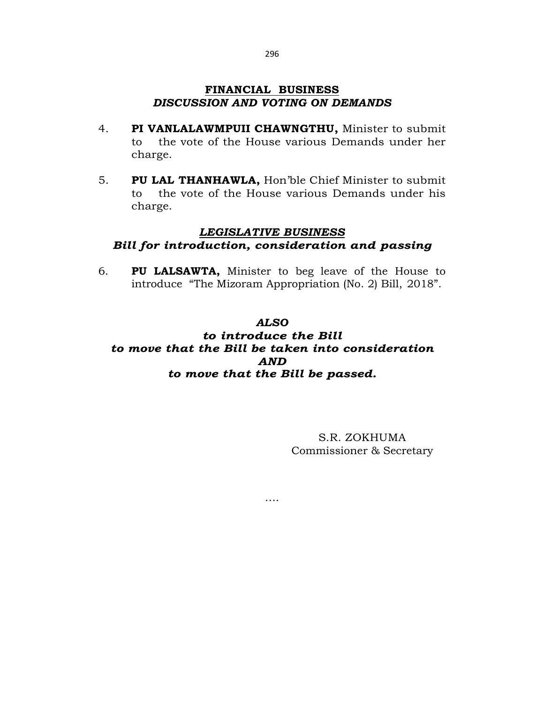## **FINANCIAL BUSINESS** *DISCUSSION AND VOTING ON DEMANDS*

- 4. **PI VANLALAWMPUII CHAWNGTHU,** Minister to submit to the vote of the House various Demands under her charge.
- 5. **PU LAL THANHAWLA,** Hon'ble Chief Minister to submit to the vote of the House various Demands under his charge.

# *LEGISLATIVE BUSINESS Bill for introduction, consideration and passing*

6. **PU LALSAWTA,** Minister to beg leave of the House to introduce "The Mizoram Appropriation (No. 2) Bill, 2018".

# *ALSO*

# *to introduce the Bill to move that the Bill be taken into consideration AND to move that the Bill be passed.*

….

S.R. ZOKHUMA Commissioner & Secretary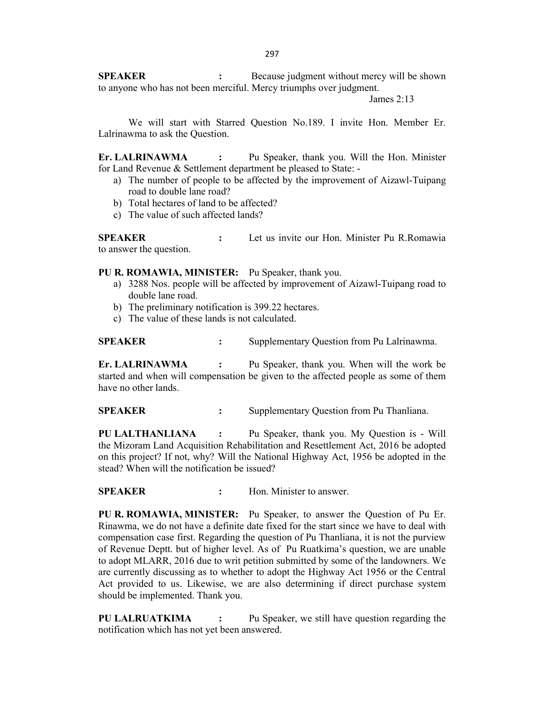**SPEAKER :** Because judgment without mercy will be shown to anyone who has not been merciful. Mercy triumphs over judgment.

James 2:13

We will start with Starred Question No.189. I invite Hon. Member Er. Lalrinawma to ask the Question.

**Er. LALRINAWMA :** Pu Speaker, thank you. Will the Hon. Minister for Land Revenue & Settlement department be pleased to State: -

- a) The number of people to be affected by the improvement of Aizawl-Tuipang road to double lane road?
- b) Total hectares of land to be affected?
- c) The value of such affected lands?

**SPEAKER :** Let us invite our Hon. Minister Pu R.Romawia to answer the question.

**PU R. ROMAWIA, MINISTER:** Pu Speaker, thank you.

- a) 3288 Nos. people will be affected by improvement of Aizawl-Tuipang road to double lane road.
- b) The preliminary notification is 399.22 hectares.
- c) The value of these lands is not calculated.

**SPEAKER** : Supplementary Question from Pu Lalrinawma.

**Er. LALRINAWMA :** Pu Speaker, thank you. When will the work be started and when will compensation be given to the affected people as some of them have no other lands.

**SPEAKER :** Supplementary Question from Pu Thanliana.

**PU LALTHANLIANA :** Pu Speaker, thank you. My Question is - Will the Mizoram Land Acquisition Rehabilitation and Resettlement Act, 2016 be adopted on this project? If not, why? Will the National Highway Act, 1956 be adopted in the stead? When will the notification be issued?

**SPEAKER :** Hon. Minister to answer.

**PU R. ROMAWIA, MINISTER:** Pu Speaker, to answer the Question of Pu Er. Rinawma, we do not have a definite date fixed for the start since we have to deal with compensation case first. Regarding the question of Pu Thanliana, it is not the purview of Revenue Deptt. but of higher level. As of Pu Ruatkima's question, we are unable to adopt MLARR, 2016 due to writ petition submitted by some of the landowners. We are currently discussing as to whether to adopt the Highway Act 1956 or the Central Act provided to us. Likewise, we are also determining if direct purchase system should be implemented. Thank you.

**PU LALRUATKIMA :** Pu Speaker, we still have question regarding the notification which has not yet been answered.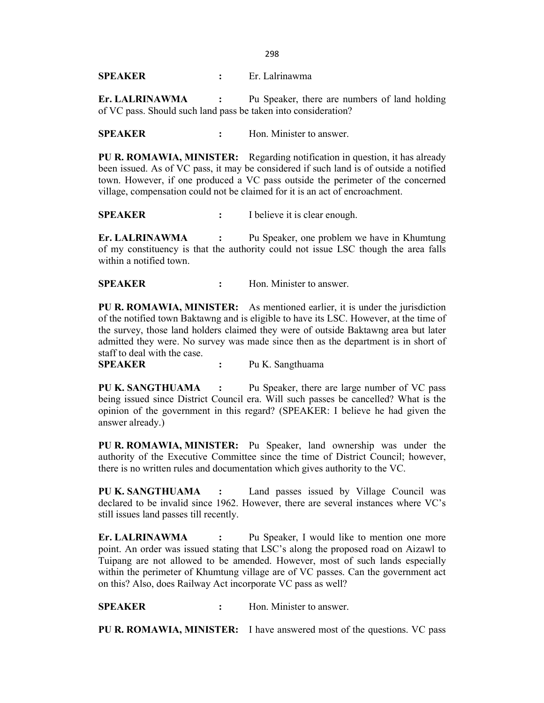298

**SPEAKER :** Er. Lalrinawma

**Er. LALRINAWMA :** Pu Speaker, there are numbers of land holding of VC pass. Should such land pass be taken into consideration?

**SPEAKER :** Hon. Minister to answer.

**PU R. ROMAWIA, MINISTER:** Regarding notification in question, it has already been issued. As of VC pass, it may be considered if such land is of outside a notified town. However, if one produced a VC pass outside the perimeter of the concerned village, compensation could not be claimed for it is an act of encroachment.

**SPEAKER** : I believe it is clear enough.

**Er. LALRINAWMA :** Pu Speaker, one problem we have in Khumtung of my constituency is that the authority could not issue LSC though the area falls within a notified town.

**SPEAKER :** Hon. Minister to answer.

**PU R. ROMAWIA, MINISTER:** As mentioned earlier, it is under the jurisdiction of the notified town Baktawng and is eligible to have its LSC. However, at the time of the survey, those land holders claimed they were of outside Baktawng area but later admitted they were. No survey was made since then as the department is in short of staff to deal with the case.

**SPEAKER :** Pu K. Sangthuama

**PU K. SANGTHUAMA :** Pu Speaker, there are large number of VC pass being issued since District Council era. Will such passes be cancelled? What is the opinion of the government in this regard? (SPEAKER: I believe he had given the answer already.)

**PU R. ROMAWIA, MINISTER:** Pu Speaker, land ownership was under the authority of the Executive Committee since the time of District Council; however, there is no written rules and documentation which gives authority to the VC.

**PU K. SANGTHUAMA :** Land passes issued by Village Council was declared to be invalid since 1962. However, there are several instances where VC's still issues land passes till recently.

**Er. LALRINAWMA :** Pu Speaker, I would like to mention one more point. An order was issued stating that LSC's along the proposed road on Aizawl to Tuipang are not allowed to be amended. However, most of such lands especially within the perimeter of Khumtung village are of VC passes. Can the government act on this? Also, does Railway Act incorporate VC pass as well?

**SPEAKER :** Hon. Minister to answer.

**PU R. ROMAWIA, MINISTER:** I have answered most of the questions. VC pass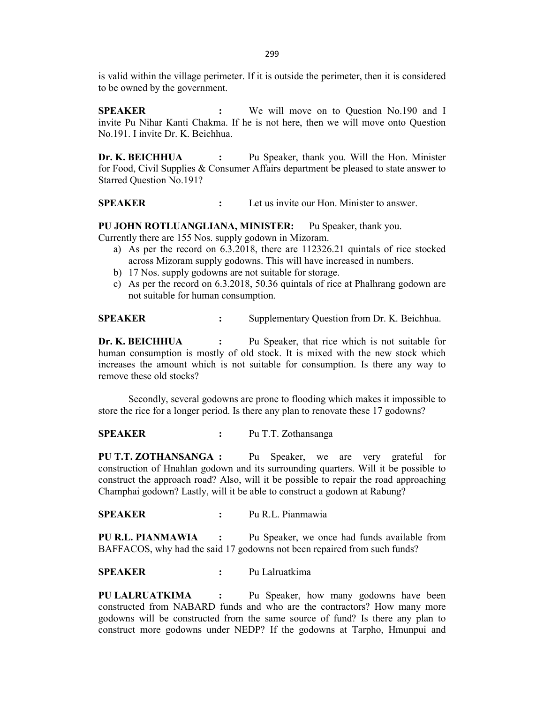is valid within the village perimeter. If it is outside the perimeter, then it is considered to be owned by the government.

**SPEAKER :** We will move on to Question No.190 and I invite Pu Nihar Kanti Chakma. If he is not here, then we will move onto Question No.191. I invite Dr. K. Beichhua.

**Dr. K. BEICHHUA :** Pu Speaker, thank you. Will the Hon. Minister for Food, Civil Supplies & Consumer Affairs department be pleased to state answer to Starred Question No.191?

**SPEAKER :** Let us invite our Hon. Minister to answer.

**PU JOHN ROTLUANGLIANA, MINISTER:** Pu Speaker, thank you.

Currently there are 155 Nos. supply godown in Mizoram.

- a) As per the record on 6.3.2018, there are 112326.21 quintals of rice stocked across Mizoram supply godowns. This will have increased in numbers.
- b) 17 Nos. supply godowns are not suitable for storage.
- c) As per the record on 6.3.2018, 50.36 quintals of rice at Phalhrang godown are not suitable for human consumption.

**SPEAKER :** Supplementary Question from Dr. K. Beichhua.

**Dr. K. BEICHHUA :** Pu Speaker, that rice which is not suitable for human consumption is mostly of old stock. It is mixed with the new stock which increases the amount which is not suitable for consumption. Is there any way to remove these old stocks?

Secondly, several godowns are prone to flooding which makes it impossible to store the rice for a longer period. Is there any plan to renovate these 17 godowns?

**SPEAKER :** Pu T.T. Zothansanga

**PU T.T. ZOTHANSANGA :** Pu Speaker, we are very grateful for construction of Hnahlan godown and its surrounding quarters. Will it be possible to construct the approach road? Also, will it be possible to repair the road approaching Champhai godown? Lastly, will it be able to construct a godown at Rabung?

**SPEAKER :** Pu R.L. Pianmawia

**PU R.L. PIANMAWIA :** Pu Speaker, we once had funds available from BAFFACOS, why had the said 17 godowns not been repaired from such funds?

**SPEAKER :** Pu Lalruatkima

**PU LALRUATKIMA :** Pu Speaker, how many godowns have been constructed from NABARD funds and who are the contractors? How many more godowns will be constructed from the same source of fund? Is there any plan to construct more godowns under NEDP? If the godowns at Tarpho, Hmunpui and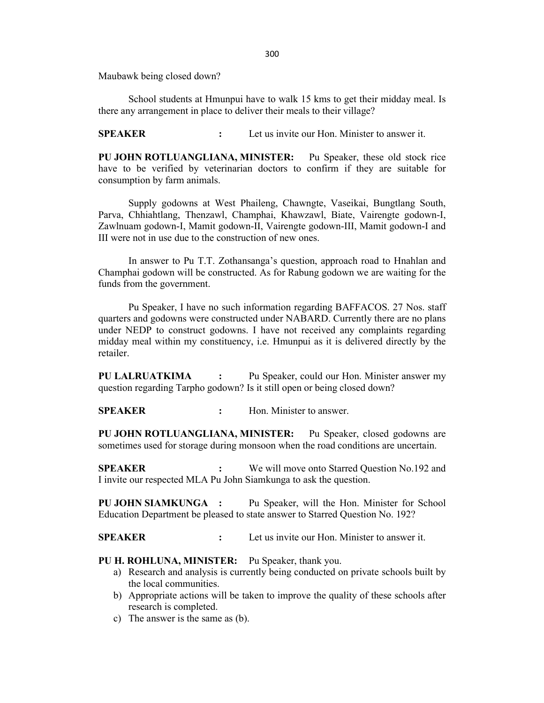Maubawk being closed down?

School students at Hmunpui have to walk 15 kms to get their midday meal. Is there any arrangement in place to deliver their meals to their village?

**SPEAKER :** Let us invite our Hon. Minister to answer it.

**PU JOHN ROTLUANGLIANA, MINISTER:** Pu Speaker, these old stock rice have to be verified by veterinarian doctors to confirm if they are suitable for consumption by farm animals.

Supply godowns at West Phaileng, Chawngte, Vaseikai, Bungtlang South, Parva, Chhiahtlang, Thenzawl, Champhai, Khawzawl, Biate, Vairengte godown-I, Zawlnuam godown-I, Mamit godown-II, Vairengte godown-III, Mamit godown-I and III were not in use due to the construction of new ones.

In answer to Pu T.T. Zothansanga's question, approach road to Hnahlan and Champhai godown will be constructed. As for Rabung godown we are waiting for the funds from the government.

Pu Speaker, I have no such information regarding BAFFACOS. 27 Nos. staff quarters and godowns were constructed under NABARD. Currently there are no plans under NEDP to construct godowns. I have not received any complaints regarding midday meal within my constituency, i.e. Hmunpui as it is delivered directly by the retailer.

**PU LALRUATKIMA :** Pu Speaker, could our Hon. Minister answer my question regarding Tarpho godown? Is it still open or being closed down?

**SPEAKER :** Hon. Minister to answer.

**PU JOHN ROTLUANGLIANA, MINISTER:** Pu Speaker, closed godowns are sometimes used for storage during monsoon when the road conditions are uncertain.

**SPEAKER :** We will move onto Starred Question No.192 and I invite our respected MLA Pu John Siamkunga to ask the question.

**PU JOHN SIAMKUNGA :** Pu Speaker, will the Hon. Minister for School Education Department be pleased to state answer to Starred Question No. 192?

**SPEAKER :** Let us invite our Hon. Minister to answer it.

#### **PU H. ROHLUNA, MINISTER:** Pu Speaker, thank you.

- a) Research and analysis is currently being conducted on private schools built by the local communities.
- b) Appropriate actions will be taken to improve the quality of these schools after research is completed.
- c) The answer is the same as (b).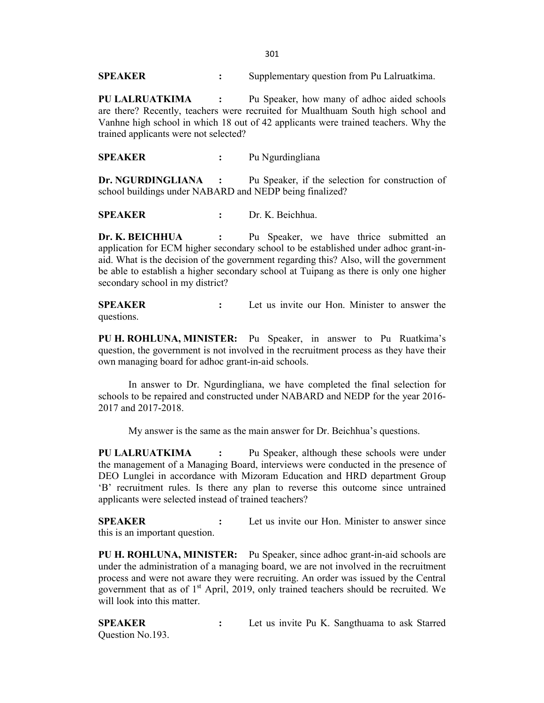**SPEAKER** : Supplementary question from Pu Lalruatkima.

**PU LALRUATKIMA :** Pu Speaker, how many of adhoc aided schools are there? Recently, teachers were recruited for Mualthuam South high school and Vanhne high school in which 18 out of 42 applicants were trained teachers. Why the trained applicants were not selected?

**SPEAKER :** Pu Ngurdingliana

**Dr. NGURDINGLIANA :** Pu Speaker, if the selection for construction of school buildings under NABARD and NEDP being finalized?

**SPEAKER :** Dr. K. Beichhua.

**Dr. K. BEICHHUA :** Pu Speaker, we have thrice submitted an application for ECM higher secondary school to be established under adhoc grant-inaid. What is the decision of the government regarding this? Also, will the government be able to establish a higher secondary school at Tuipang as there is only one higher secondary school in my district?

**SPEAKER :** Let us invite our Hon. Minister to answer the questions.

**PU H. ROHLUNA, MINISTER:** Pu Speaker, in answer to Pu Ruatkima's question, the government is not involved in the recruitment process as they have their own managing board for adhoc grant-in-aid schools.

In answer to Dr. Ngurdingliana, we have completed the final selection for schools to be repaired and constructed under NABARD and NEDP for the year 2016- 2017 and 2017-2018.

My answer is the same as the main answer for Dr. Beichhua's questions.

**PU LALRUATKIMA :** Pu Speaker, although these schools were under the management of a Managing Board, interviews were conducted in the presence of DEO Lunglei in accordance with Mizoram Education and HRD department Group 'B' recruitment rules. Is there any plan to reverse this outcome since untrained applicants were selected instead of trained teachers?

**SPEAKER :** Let us invite our Hon. Minister to answer since this is an important question.

**PU H. ROHLUNA, MINISTER:** Pu Speaker, since adhoc grant-in-aid schools are under the administration of a managing board, we are not involved in the recruitment process and were not aware they were recruiting. An order was issued by the Central government that as of  $1<sup>st</sup>$  April, 2019, only trained teachers should be recruited. We will look into this matter.

**SPEAKER :** Let us invite Pu K. Sangthuama to ask Starred Question No.193.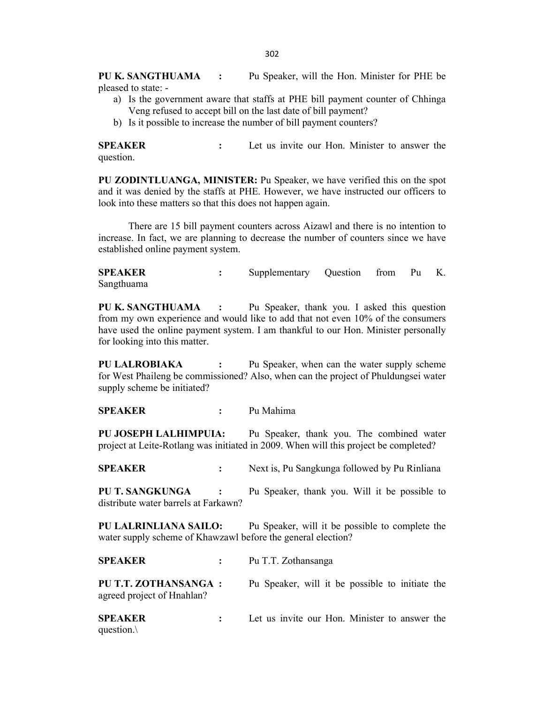**PU K. SANGTHUAMA :** Pu Speaker, will the Hon. Minister for PHE be pleased to state: -

- a) Is the government aware that staffs at PHE bill payment counter of Chhinga Veng refused to accept bill on the last date of bill payment?
- b) Is it possible to increase the number of bill payment counters?

**SPEAKER :** Let us invite our Hon. Minister to answer the question.

**PU ZODINTLUANGA, MINISTER:** Pu Speaker, we have verified this on the spot and it was denied by the staffs at PHE. However, we have instructed our officers to look into these matters so that this does not happen again.

There are 15 bill payment counters across Aizawl and there is no intention to increase. In fact, we are planning to decrease the number of counters since we have established online payment system.

**SPEAKER :** Supplementary Question from Pu K. Sangthuama

**PU K. SANGTHUAMA :** Pu Speaker, thank you. I asked this question from my own experience and would like to add that not even 10% of the consumers have used the online payment system. I am thankful to our Hon. Minister personally for looking into this matter.

**PU LALROBIAKA :** Pu Speaker, when can the water supply scheme for West Phaileng be commissioned? Also, when can the project of Phuldungsei water supply scheme be initiated?

**SPEAKER :** Pu Mahima

**PU JOSEPH LALHIMPUIA:** Pu Speaker, thank you. The combined water project at Leite-Rotlang was initiated in 2009. When will this project be completed?

**SPEAKER :** Next is, Pu Sangkunga followed by Pu Rinliana

**PU T. SANGKUNGA :** Pu Speaker, thank you. Will it be possible to distribute water barrels at Farkawn?

**PU LALRINLIANA SAILO:** Pu Speaker, will it be possible to complete the water supply scheme of Khawzawl before the general election?

| <b>SPEAKER</b>                                             | : Pu T.T. Zothansanga                           |  |
|------------------------------------------------------------|-------------------------------------------------|--|
| <b>PU T.T. ZOTHANSANGA :</b><br>agreed project of Hnahlan? | Pu Speaker, will it be possible to initiate the |  |
| <b>SPEAKER</b><br>question. $\setminus$                    | Let us invite our Hon. Minister to answer the   |  |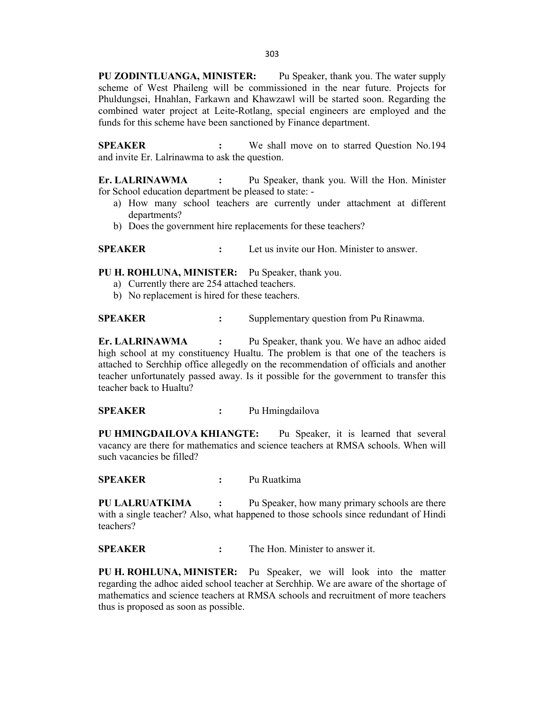**PU ZODINTLUANGA, MINISTER:** Pu Speaker, thank you. The water supply scheme of West Phaileng will be commissioned in the near future. Projects for Phuldungsei, Hnahlan, Farkawn and Khawzawl will be started soon. Regarding the combined water project at Leite-Rotlang, special engineers are employed and the funds for this scheme have been sanctioned by Finance department.

**SPEAKER :** We shall move on to starred Question No.194 and invite Er. Lalrinawma to ask the question.

**Er. LALRINAWMA :** Pu Speaker, thank you. Will the Hon. Minister for School education department be pleased to state: -

- a) How many school teachers are currently under attachment at different departments?
- b) Does the government hire replacements for these teachers?

**SPEAKER :** Let us invite our Hon. Minister to answer.

## **PU H. ROHLUNA, MINISTER:** Pu Speaker, thank you.

- a) Currently there are 254 attached teachers.
- b) No replacement is hired for these teachers.

**SPEAKER :** Supplementary question from Pu Rinawma.

**Er. LALRINAWMA :** Pu Speaker, thank you. We have an adhoc aided high school at my constituency Hualtu. The problem is that one of the teachers is attached to Serchhip office allegedly on the recommendation of officials and another teacher unfortunately passed away. Is it possible for the government to transfer this teacher back to Hualtu?

**SPEAKER :** Pu Hmingdailova

**PU HMINGDAILOVA KHIANGTE:** Pu Speaker, it is learned that several vacancy are there for mathematics and science teachers at RMSA schools. When will such vacancies be filled?

**SPEAKER :** Pu Ruatkima

**PU LALRUATKIMA :** Pu Speaker, how many primary schools are there with a single teacher? Also, what happened to those schools since redundant of Hindi teachers?

**SPEAKER :** The Hon. Minister to answer it.

**PU H. ROHLUNA, MINISTER:** Pu Speaker, we will look into the matter regarding the adhoc aided school teacher at Serchhip. We are aware of the shortage of mathematics and science teachers at RMSA schools and recruitment of more teachers thus is proposed as soon as possible.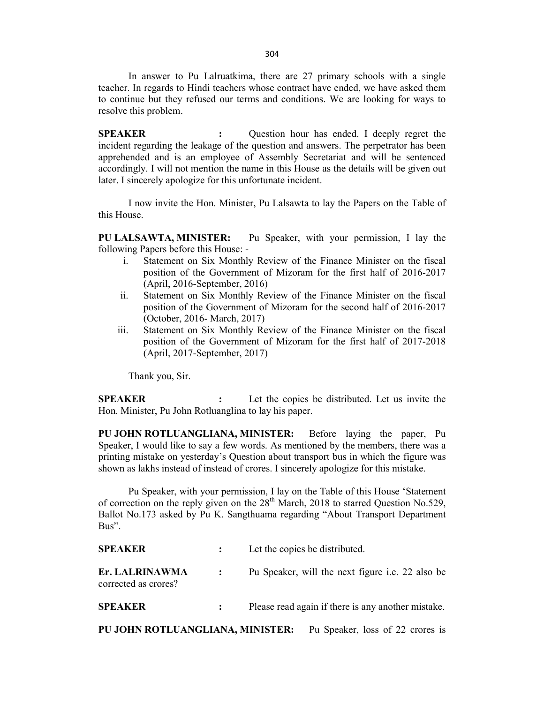In answer to Pu Lalruatkima, there are 27 primary schools with a single teacher. In regards to Hindi teachers whose contract have ended, we have asked them to continue but they refused our terms and conditions. We are looking for ways to resolve this problem.

**SPEAKER :** Question hour has ended. I deeply regret the incident regarding the leakage of the question and answers. The perpetrator has been apprehended and is an employee of Assembly Secretariat and will be sentenced accordingly. I will not mention the name in this House as the details will be given out later. I sincerely apologize for this unfortunate incident.

I now invite the Hon. Minister, Pu Lalsawta to lay the Papers on the Table of this House.

**PU LALSAWTA, MINISTER:** Pu Speaker, with your permission, I lay the following Papers before this House: -

- i. Statement on Six Monthly Review of the Finance Minister on the fiscal position of the Government of Mizoram for the first half of 2016-2017 (April, 2016-September, 2016)
- ii. Statement on Six Monthly Review of the Finance Minister on the fiscal position of the Government of Mizoram for the second half of 2016-2017 (October, 2016- March, 2017)
- iii. Statement on Six Monthly Review of the Finance Minister on the fiscal position of the Government of Mizoram for the first half of 2017-2018 (April, 2017-September, 2017)

Thank you, Sir.

**SPEAKER :** Let the copies be distributed. Let us invite the Hon. Minister, Pu John Rotluanglina to lay his paper.

**PU JOHN ROTLUANGLIANA, MINISTER:** Before laying the paper, Pu Speaker, I would like to say a few words. As mentioned by the members, there was a printing mistake on yesterday's Question about transport bus in which the figure was shown as lakhs instead of instead of crores. I sincerely apologize for this mistake.

Pu Speaker, with your permission, I lay on the Table of this House 'Statement of correction on the reply given on the  $28<sup>th</sup>$  March, 2018 to starred Question No.529, Ballot No.173 asked by Pu K. Sangthuama regarding "About Transport Department Bus".

| <b>SPEAKER</b>                         | Let the copies be distributed.                          |
|----------------------------------------|---------------------------------------------------------|
| Er. LALRINAWMA<br>corrected as crores? | Pu Speaker, will the next figure <i>i.e.</i> 22 also be |
| <b>SPEAKER</b>                         | Please read again if there is any another mistake.      |
| PU JOHN ROTLUANGLIANA, MINISTER:       | Pu Speaker, loss of 22 crores is                        |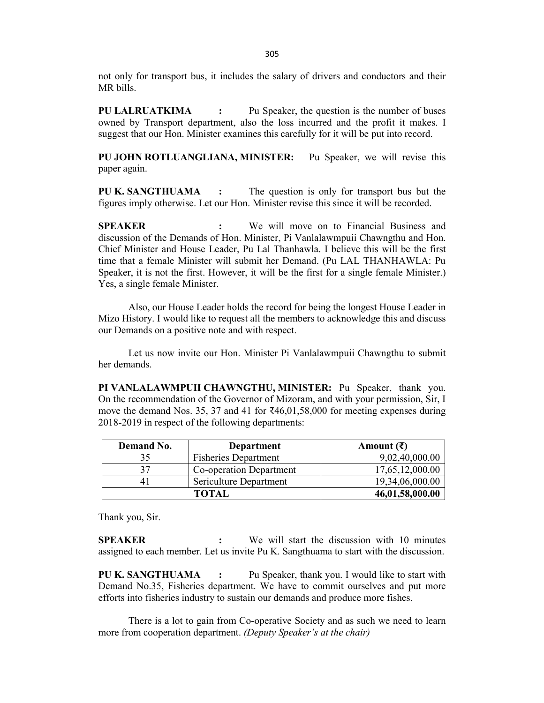not only for transport bus, it includes the salary of drivers and conductors and their MR bills.

**PU LALRUATKIMA :** Pu Speaker, the question is the number of buses owned by Transport department, also the loss incurred and the profit it makes. I suggest that our Hon. Minister examines this carefully for it will be put into record.

**PU JOHN ROTLUANGLIANA, MINISTER:** Pu Speaker, we will revise this paper again.

**PU K. SANGTHUAMA :** The question is only for transport bus but the figures imply otherwise. Let our Hon. Minister revise this since it will be recorded.

**SPEAKER :** We will move on to Financial Business and discussion of the Demands of Hon. Minister, Pi Vanlalawmpuii Chawngthu and Hon. Chief Minister and House Leader, Pu Lal Thanhawla. I believe this will be the first time that a female Minister will submit her Demand. (Pu LAL THANHAWLA: Pu Speaker, it is not the first. However, it will be the first for a single female Minister.) Yes, a single female Minister.

Also, our House Leader holds the record for being the longest House Leader in Mizo History. I would like to request all the members to acknowledge this and discuss our Demands on a positive note and with respect.

Let us now invite our Hon. Minister Pi Vanlalawmpuii Chawngthu to submit her demands.

**PI VANLALAWMPUII CHAWNGTHU, MINISTER:** Pu Speaker, thank you. On the recommendation of the Governor of Mizoram, and with your permission, Sir, I move the demand Nos. 35, 37 and 41 for  $\text{\textdegree{46}},01,58,000$  for meeting expenses during 2018-2019 in respect of the following departments:

| Demand No. | Department                  | Amount $(\bar{\mathbf{z}})$ |
|------------|-----------------------------|-----------------------------|
| 35         | <b>Fisheries Department</b> | 9,02,40,000.00              |
| 37         | Co-operation Department     | 17,65,12,000.00             |
|            | Sericulture Department      | 19,34,06,000.00             |
| TOTAL      |                             | 46,01,58,000.00             |

Thank you, Sir.

**SPEAKER :** We will start the discussion with 10 minutes assigned to each member. Let us invite Pu K. Sangthuama to start with the discussion.

**PU K. SANGTHUAMA :** Pu Speaker, thank you. I would like to start with Demand No.35, Fisheries department. We have to commit ourselves and put more efforts into fisheries industry to sustain our demands and produce more fishes.

There is a lot to gain from Co-operative Society and as such we need to learn more from cooperation department. *(Deputy Speaker's at the chair)*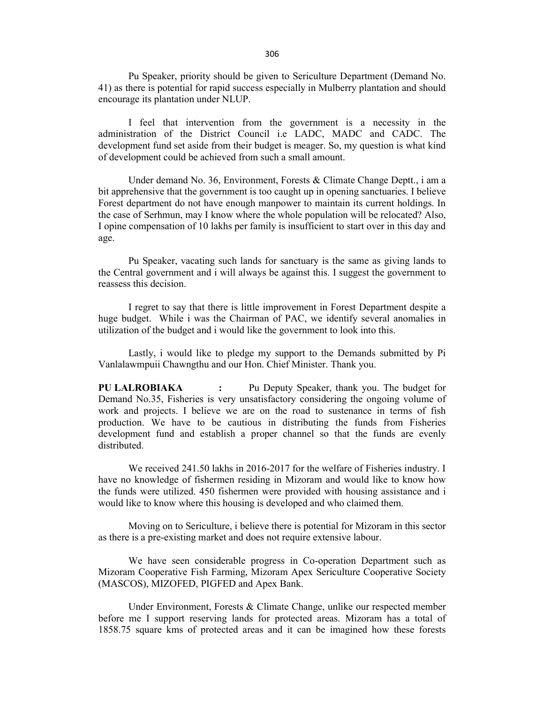Pu Speaker, priority should be given to Sericulture Department (Demand No. 41) as there is potential for rapid success especially in Mulberry plantation and should encourage its plantation under NLUP.

I feel that intervention from the government is a necessity in the administration of the District Council i.e LADC, MADC and CADC. The development fund set aside from their budget is meager. So, my question is what kind of development could be achieved from such a small amount.

Under demand No. 36, Environment, Forests & Climate Change Deptt., i am a bit apprehensive that the government is too caught up in opening sanctuaries. I believe Forest department do not have enough manpower to maintain its current holdings. In the case of Serhmun, may I know where the whole population will be relocated? Also, I opine compensation of 10 lakhs per family is insufficient to start over in this day and age.

Pu Speaker, vacating such lands for sanctuary is the same as giving lands to the Central government and i will always be against this. I suggest the government to reassess this decision.

I regret to say that there is little improvement in Forest Department despite a huge budget. While i was the Chairman of PAC, we identify several anomalies in utilization of the budget and i would like the government to look into this.

Lastly, i would like to pledge my support to the Demands submitted by Pi Vanlalawmpuii Chawngthu and our Hon. Chief Minister. Thank you.

**PU LALROBIAKA :** Pu Deputy Speaker, thank you. The budget for Demand No.35, Fisheries is very unsatisfactory considering the ongoing volume of work and projects. I believe we are on the road to sustenance in terms of fish production. We have to be cautious in distributing the funds from Fisheries development fund and establish a proper channel so that the funds are evenly distributed.

We received 241.50 lakhs in 2016-2017 for the welfare of Fisheries industry. I have no knowledge of fishermen residing in Mizoram and would like to know how the funds were utilized. 450 fishermen were provided with housing assistance and i would like to know where this housing is developed and who claimed them.

Moving on to Sericulture, i believe there is potential for Mizoram in this sector as there is a pre-existing market and does not require extensive labour.

We have seen considerable progress in Co-operation Department such as Mizoram Cooperative Fish Farming, Mizoram Apex Sericulture Cooperative Society (MASCOS), MIZOFED, PIGFED and Apex Bank.

Under Environment, Forests & Climate Change, unlike our respected member before me I support reserving lands for protected areas. Mizoram has a total of 1858.75 square kms of protected areas and it can be imagined how these forests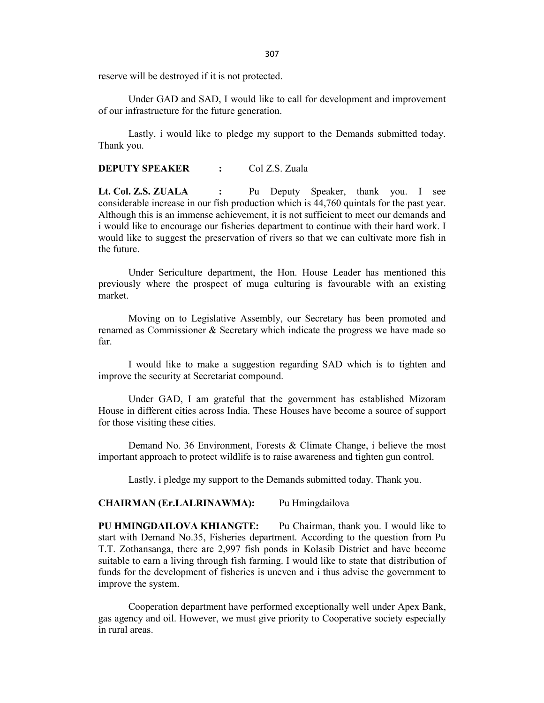reserve will be destroyed if it is not protected.

Under GAD and SAD, I would like to call for development and improvement of our infrastructure for the future generation.

Lastly, i would like to pledge my support to the Demands submitted today. Thank you.

**DEPUTY SPEAKER :** Col Z.S. Zuala

**Lt. Col. Z.S. ZUALA :** Pu Deputy Speaker, thank you. I see considerable increase in our fish production which is 44,760 quintals for the past year. Although this is an immense achievement, it is not sufficient to meet our demands and i would like to encourage our fisheries department to continue with their hard work. I would like to suggest the preservation of rivers so that we can cultivate more fish in the future.

Under Sericulture department, the Hon. House Leader has mentioned this previously where the prospect of muga culturing is favourable with an existing market.

Moving on to Legislative Assembly, our Secretary has been promoted and renamed as Commissioner & Secretary which indicate the progress we have made so far.

I would like to make a suggestion regarding SAD which is to tighten and improve the security at Secretariat compound.

Under GAD, I am grateful that the government has established Mizoram House in different cities across India. These Houses have become a source of support for those visiting these cities.

Demand No. 36 Environment, Forests & Climate Change, i believe the most important approach to protect wildlife is to raise awareness and tighten gun control.

Lastly, i pledge my support to the Demands submitted today. Thank you.

## **CHAIRMAN (Er.LALRINAWMA):** Pu Hmingdailova

**PU HMINGDAILOVA KHIANGTE:** Pu Chairman, thank you. I would like to start with Demand No.35, Fisheries department. According to the question from Pu T.T. Zothansanga, there are 2,997 fish ponds in Kolasib District and have become suitable to earn a living through fish farming. I would like to state that distribution of funds for the development of fisheries is uneven and i thus advise the government to improve the system.

Cooperation department have performed exceptionally well under Apex Bank, gas agency and oil. However, we must give priority to Cooperative society especially in rural areas.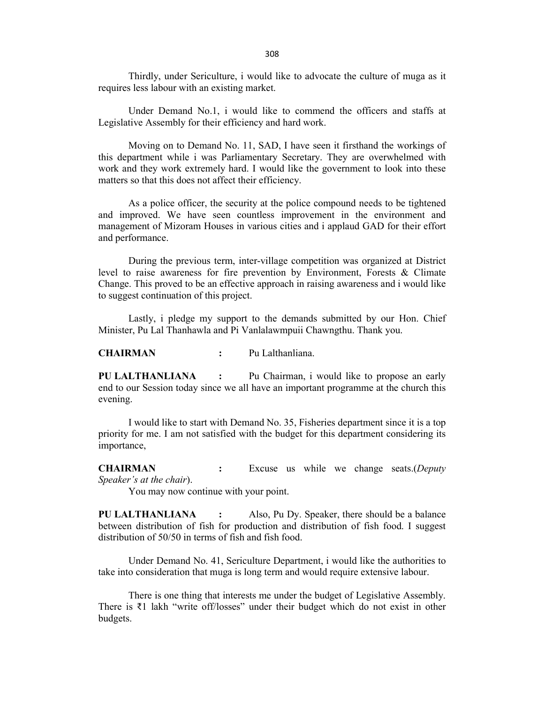Thirdly, under Sericulture, i would like to advocate the culture of muga as it requires less labour with an existing market.

Under Demand No.1, i would like to commend the officers and staffs at Legislative Assembly for their efficiency and hard work.

Moving on to Demand No. 11, SAD, I have seen it firsthand the workings of this department while i was Parliamentary Secretary. They are overwhelmed with work and they work extremely hard. I would like the government to look into these matters so that this does not affect their efficiency.

As a police officer, the security at the police compound needs to be tightened and improved. We have seen countless improvement in the environment and management of Mizoram Houses in various cities and i applaud GAD for their effort and performance.

During the previous term, inter-village competition was organized at District level to raise awareness for fire prevention by Environment, Forests & Climate Change. This proved to be an effective approach in raising awareness and i would like to suggest continuation of this project.

Lastly, i pledge my support to the demands submitted by our Hon. Chief Minister, Pu Lal Thanhawla and Pi Vanlalawmpuii Chawngthu. Thank you.

**CHAIRMAN :** Pu Lalthanliana.

**PU LALTHANLIANA :** Pu Chairman, i would like to propose an early end to our Session today since we all have an important programme at the church this evening.

I would like to start with Demand No. 35, Fisheries department since it is a top priority for me. I am not satisfied with the budget for this department considering its importance,

**CHAIRMAN :** Excuse us while we change seats.(*Deputy Speaker's at the chair*).

You may now continue with your point.

**PU LALTHANLIANA :** Also, Pu Dy. Speaker, there should be a balance between distribution of fish for production and distribution of fish food. I suggest distribution of 50/50 in terms of fish and fish food.

Under Demand No. 41, Sericulture Department, i would like the authorities to take into consideration that muga is long term and would require extensive labour.

There is one thing that interests me under the budget of Legislative Assembly. There is ₹1 lakh "write off/losses" under their budget which do not exist in other budgets.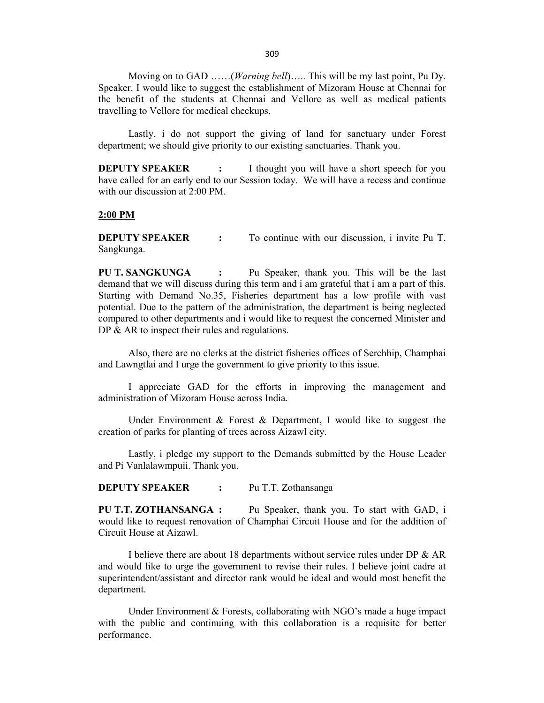Moving on to GAD ……(*Warning bell*)….. This will be my last point, Pu Dy. Speaker. I would like to suggest the establishment of Mizoram House at Chennai for the benefit of the students at Chennai and Vellore as well as medical patients travelling to Vellore for medical checkups.

Lastly, i do not support the giving of land for sanctuary under Forest department; we should give priority to our existing sanctuaries. Thank you.

**DEPUTY SPEAKER** : I thought you will have a short speech for you have called for an early end to our Session today. We will have a recess and continue with our discussion at 2:00 PM.

#### **2:00 PM**

**DEPUTY SPEAKER** : To continue with our discussion, i invite Pu T. Sangkunga.

**PU T. SANGKUNGA :** Pu Speaker, thank you. This will be the last demand that we will discuss during this term and i am grateful that i am a part of this. Starting with Demand No.35, Fisheries department has a low profile with vast potential. Due to the pattern of the administration, the department is being neglected compared to other departments and i would like to request the concerned Minister and DP & AR to inspect their rules and regulations.

Also, there are no clerks at the district fisheries offices of Serchhip, Champhai and Lawngtlai and I urge the government to give priority to this issue.

I appreciate GAD for the efforts in improving the management and administration of Mizoram House across India.

Under Environment  $& Forest & Department, I would like to suggest the$ creation of parks for planting of trees across Aizawl city.

Lastly, i pledge my support to the Demands submitted by the House Leader and Pi Vanlalawmpuii. Thank you.

#### **DEPUTY SPEAKER :** Pu T.T. Zothansanga

**PU T.T. ZOTHANSANGA :** Pu Speaker, thank you. To start with GAD, i would like to request renovation of Champhai Circuit House and for the addition of Circuit House at Aizawl.

I believe there are about 18 departments without service rules under DP & AR and would like to urge the government to revise their rules. I believe joint cadre at superintendent/assistant and director rank would be ideal and would most benefit the department.

Under Environment & Forests, collaborating with NGO's made a huge impact with the public and continuing with this collaboration is a requisite for better performance.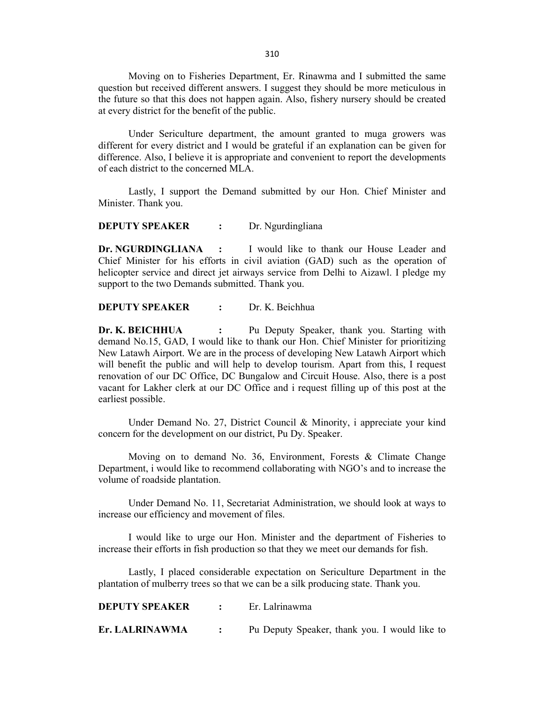Moving on to Fisheries Department, Er. Rinawma and I submitted the same question but received different answers. I suggest they should be more meticulous in the future so that this does not happen again. Also, fishery nursery should be created at every district for the benefit of the public.

Under Sericulture department, the amount granted to muga growers was different for every district and I would be grateful if an explanation can be given for difference. Also, I believe it is appropriate and convenient to report the developments of each district to the concerned MLA.

Lastly, I support the Demand submitted by our Hon. Chief Minister and Minister. Thank you.

**DEPUTY SPEAKER :** Dr. Ngurdingliana

**Dr. NGURDINGLIANA :** I would like to thank our House Leader and Chief Minister for his efforts in civil aviation (GAD) such as the operation of helicopter service and direct jet airways service from Delhi to Aizawl. I pledge my support to the two Demands submitted. Thank you.

## **DEPUTY SPEAKER :** Dr. K. Beichhua

**Dr. K. BEICHHUA :** Pu Deputy Speaker, thank you. Starting with demand No.15, GAD, I would like to thank our Hon. Chief Minister for prioritizing New Latawh Airport. We are in the process of developing New Latawh Airport which will benefit the public and will help to develop tourism. Apart from this, I request renovation of our DC Office, DC Bungalow and Circuit House. Also, there is a post vacant for Lakher clerk at our DC Office and i request filling up of this post at the earliest possible.

Under Demand No. 27, District Council & Minority, i appreciate your kind concern for the development on our district, Pu Dy. Speaker.

Moving on to demand No. 36, Environment, Forests  $\&$  Climate Change Department, i would like to recommend collaborating with NGO's and to increase the volume of roadside plantation.

Under Demand No. 11, Secretariat Administration, we should look at ways to increase our efficiency and movement of files.

I would like to urge our Hon. Minister and the department of Fisheries to increase their efforts in fish production so that they we meet our demands for fish.

Lastly, I placed considerable expectation on Sericulture Department in the plantation of mulberry trees so that we can be a silk producing state. Thank you.

| <b>DEPUTY SPEAKER</b> | : Er. Lalrinawma                              |
|-----------------------|-----------------------------------------------|
| Er. LALRINAWMA        | Pu Deputy Speaker, thank you. I would like to |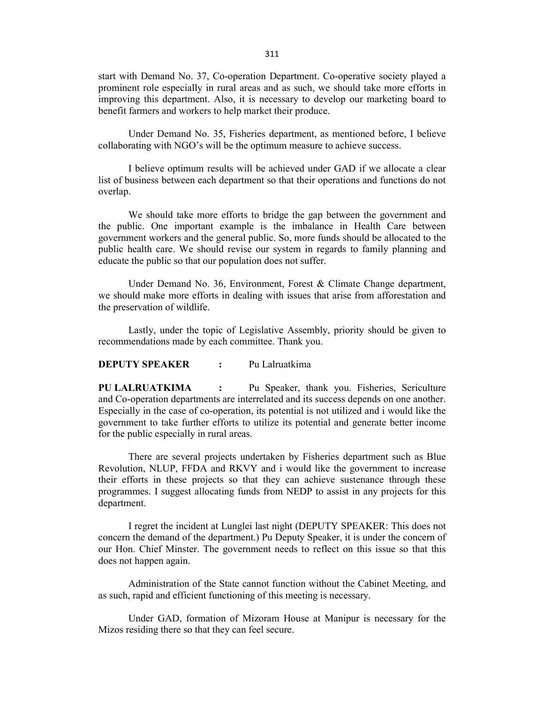start with Demand No. 37, Co-operation Department. Co-operative society played a prominent role especially in rural areas and as such, we should take more efforts in improving this department. Also, it is necessary to develop our marketing board to benefit farmers and workers to help market their produce.

Under Demand No. 35, Fisheries department, as mentioned before, I believe collaborating with NGO's will be the optimum measure to achieve success.

I believe optimum results will be achieved under GAD if we allocate a clear list of business between each department so that their operations and functions do not overlap.

We should take more efforts to bridge the gap between the government and the public. One important example is the imbalance in Health Care between government workers and the general public. So, more funds should be allocated to the public health care. We should revise our system in regards to family planning and educate the public so that our population does not suffer.

Under Demand No. 36, Environment, Forest & Climate Change department, we should make more efforts in dealing with issues that arise from afforestation and the preservation of wildlife.

Lastly, under the topic of Legislative Assembly, priority should be given to recommendations made by each committee. Thank you.

#### **DEPUTY SPEAKER :** Pu Lalruatkima

**PU LALRUATKIMA :** Pu Speaker, thank you. Fisheries, Sericulture and Co-operation departments are interrelated and its success depends on one another. Especially in the case of co-operation, its potential is not utilized and i would like the government to take further efforts to utilize its potential and generate better income for the public especially in rural areas.

There are several projects undertaken by Fisheries department such as Blue Revolution, NLUP, FFDA and RKVY and i would like the government to increase their efforts in these projects so that they can achieve sustenance through these programmes. I suggest allocating funds from NEDP to assist in any projects for this department.

I regret the incident at Lunglei last night (DEPUTY SPEAKER: This does not concern the demand of the department.) Pu Deputy Speaker, it is under the concern of our Hon. Chief Minster. The government needs to reflect on this issue so that this does not happen again.

Administration of the State cannot function without the Cabinet Meeting, and as such, rapid and efficient functioning of this meeting is necessary.

Under GAD, formation of Mizoram House at Manipur is necessary for the Mizos residing there so that they can feel secure.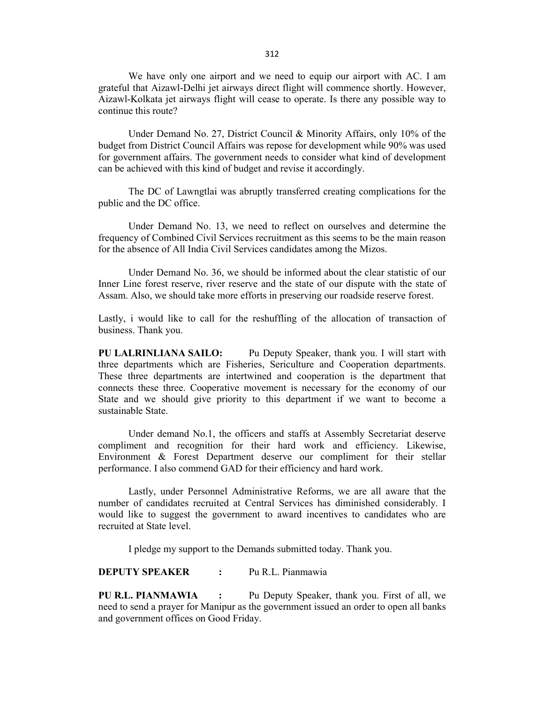We have only one airport and we need to equip our airport with AC. I am grateful that Aizawl-Delhi jet airways direct flight will commence shortly. However, Aizawl-Kolkata jet airways flight will cease to operate. Is there any possible way to continue this route?

Under Demand No. 27, District Council & Minority Affairs, only 10% of the budget from District Council Affairs was repose for development while 90% was used for government affairs. The government needs to consider what kind of development can be achieved with this kind of budget and revise it accordingly.

The DC of Lawngtlai was abruptly transferred creating complications for the public and the DC office.

Under Demand No. 13, we need to reflect on ourselves and determine the frequency of Combined Civil Services recruitment as this seems to be the main reason for the absence of All India Civil Services candidates among the Mizos.

Under Demand No. 36, we should be informed about the clear statistic of our Inner Line forest reserve, river reserve and the state of our dispute with the state of Assam. Also, we should take more efforts in preserving our roadside reserve forest.

Lastly, i would like to call for the reshuffling of the allocation of transaction of business. Thank you.

**PU LALRINLIANA SAILO:** Pu Deputy Speaker, thank you. I will start with three departments which are Fisheries, Sericulture and Cooperation departments. These three departments are intertwined and cooperation is the department that connects these three. Cooperative movement is necessary for the economy of our State and we should give priority to this department if we want to become a sustainable State.

Under demand No.1, the officers and staffs at Assembly Secretariat deserve compliment and recognition for their hard work and efficiency. Likewise, Environment & Forest Department deserve our compliment for their stellar performance. I also commend GAD for their efficiency and hard work.

Lastly, under Personnel Administrative Reforms, we are all aware that the number of candidates recruited at Central Services has diminished considerably. I would like to suggest the government to award incentives to candidates who are recruited at State level.

I pledge my support to the Demands submitted today. Thank you.

**DEPUTY SPEAKER :** Pu R.L. Pianmawia

**PU R.L. PIANMAWIA :** Pu Deputy Speaker, thank you. First of all, we need to send a prayer for Manipur as the government issued an order to open all banks and government offices on Good Friday.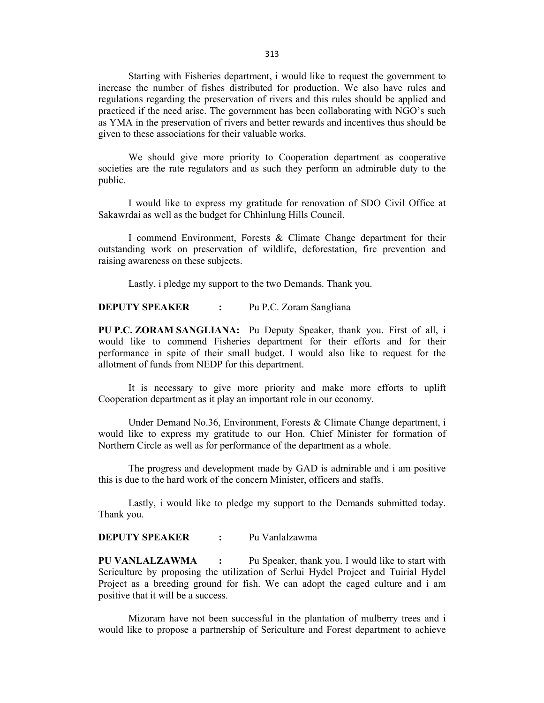Starting with Fisheries department, i would like to request the government to increase the number of fishes distributed for production. We also have rules and regulations regarding the preservation of rivers and this rules should be applied and practiced if the need arise. The government has been collaborating with NGO's such as YMA in the preservation of rivers and better rewards and incentives thus should be given to these associations for their valuable works.

We should give more priority to Cooperation department as cooperative societies are the rate regulators and as such they perform an admirable duty to the public.

I would like to express my gratitude for renovation of SDO Civil Office at Sakawrdai as well as the budget for Chhinlung Hills Council.

I commend Environment, Forests & Climate Change department for their outstanding work on preservation of wildlife, deforestation, fire prevention and raising awareness on these subjects.

Lastly, i pledge my support to the two Demands. Thank you.

**DEPUTY SPEAKER :** Pu P.C. Zoram Sangliana

**PU P.C. ZORAM SANGLIANA:** Pu Deputy Speaker, thank you. First of all, i would like to commend Fisheries department for their efforts and for their performance in spite of their small budget. I would also like to request for the allotment of funds from NEDP for this department.

It is necessary to give more priority and make more efforts to uplift Cooperation department as it play an important role in our economy.

Under Demand No.36, Environment, Forests & Climate Change department, i would like to express my gratitude to our Hon. Chief Minister for formation of Northern Circle as well as for performance of the department as a whole.

The progress and development made by GAD is admirable and i am positive this is due to the hard work of the concern Minister, officers and staffs.

Lastly, i would like to pledge my support to the Demands submitted today. Thank you.

**DEPUTY SPEAKER :** Pu Vanlalzawma

**PU VANLALZAWMA :** Pu Speaker, thank you. I would like to start with Sericulture by proposing the utilization of Serlui Hydel Project and Tuirial Hydel Project as a breeding ground for fish. We can adopt the caged culture and i am positive that it will be a success.

Mizoram have not been successful in the plantation of mulberry trees and i would like to propose a partnership of Sericulture and Forest department to achieve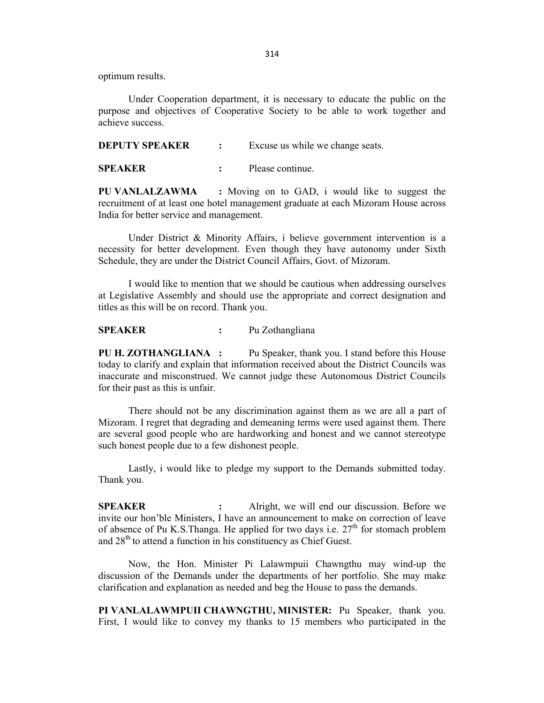optimum results.

Under Cooperation department, it is necessary to educate the public on the purpose and objectives of Cooperative Society to be able to work together and achieve success.

**DEPUTY SPEAKER :** Excuse us while we change seats.

**SPEAKER :** Please continue.

**PU VANLALZAWMA :** Moving on to GAD, i would like to suggest the recruitment of at least one hotel management graduate at each Mizoram House across India for better service and management.

Under District & Minority Affairs, i believe government intervention is a necessity for better development. Even though they have autonomy under Sixth Schedule, they are under the District Council Affairs, Govt. of Mizoram.

I would like to mention that we should be cautious when addressing ourselves at Legislative Assembly and should use the appropriate and correct designation and titles as this will be on record. Thank you.

#### **SPEAKER :** Pu Zothangliana

**PU H. ZOTHANGLIANA :** Pu Speaker, thank you. I stand before this House today to clarify and explain that information received about the District Councils was inaccurate and misconstrued. We cannot judge these Autonomous District Councils for their past as this is unfair.

There should not be any discrimination against them as we are all a part of Mizoram. I regret that degrading and demeaning terms were used against them. There are several good people who are hardworking and honest and we cannot stereotype such honest people due to a few dishonest people.

Lastly, i would like to pledge my support to the Demands submitted today. Thank you.

**SPEAKER** : Alright, we will end our discussion. Before we invite our hon'ble Ministers, I have an announcement to make on correction of leave of absence of Pu K.S.Thanga. He applied for two days i.e.  $27<sup>th</sup>$  for stomach problem and  $28<sup>th</sup>$  to attend a function in his constituency as Chief Guest.

Now, the Hon. Minister Pi Lalawmpuii Chawngthu may wind-up the discussion of the Demands under the departments of her portfolio. She may make clarification and explanation as needed and beg the House to pass the demands.

**PI VANLALAWMPUII CHAWNGTHU, MINISTER:** Pu Speaker, thank you. First, I would like to convey my thanks to 15 members who participated in the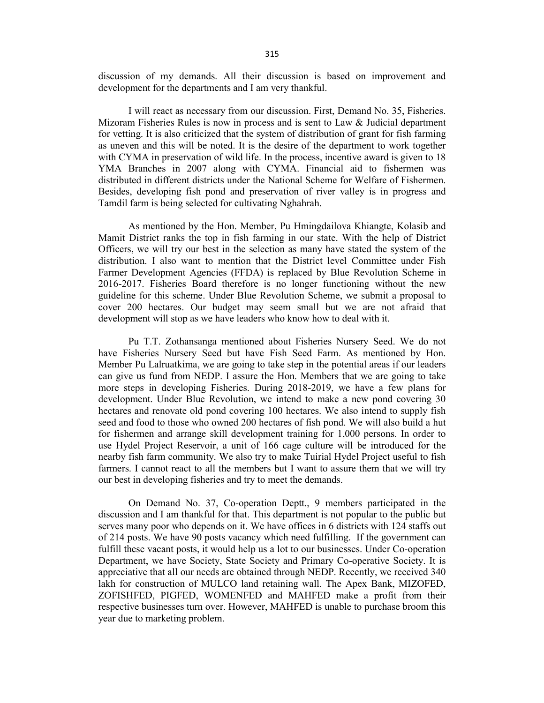discussion of my demands. All their discussion is based on improvement and development for the departments and I am very thankful.

I will react as necessary from our discussion. First, Demand No. 35, Fisheries. Mizoram Fisheries Rules is now in process and is sent to Law & Judicial department for vetting. It is also criticized that the system of distribution of grant for fish farming as uneven and this will be noted. It is the desire of the department to work together with CYMA in preservation of wild life. In the process, incentive award is given to 18 YMA Branches in 2007 along with CYMA. Financial aid to fishermen was distributed in different districts under the National Scheme for Welfare of Fishermen. Besides, developing fish pond and preservation of river valley is in progress and Tamdil farm is being selected for cultivating Nghahrah.

As mentioned by the Hon. Member, Pu Hmingdailova Khiangte, Kolasib and Mamit District ranks the top in fish farming in our state. With the help of District Officers, we will try our best in the selection as many have stated the system of the distribution. I also want to mention that the District level Committee under Fish Farmer Development Agencies (FFDA) is replaced by Blue Revolution Scheme in 2016-2017. Fisheries Board therefore is no longer functioning without the new guideline for this scheme. Under Blue Revolution Scheme, we submit a proposal to cover 200 hectares. Our budget may seem small but we are not afraid that development will stop as we have leaders who know how to deal with it.

Pu T.T. Zothansanga mentioned about Fisheries Nursery Seed. We do not have Fisheries Nursery Seed but have Fish Seed Farm. As mentioned by Hon. Member Pu Lalruatkima, we are going to take step in the potential areas if our leaders can give us fund from NEDP. I assure the Hon. Members that we are going to take more steps in developing Fisheries. During 2018-2019, we have a few plans for development. Under Blue Revolution, we intend to make a new pond covering 30 hectares and renovate old pond covering 100 hectares. We also intend to supply fish seed and food to those who owned 200 hectares of fish pond. We will also build a hut for fishermen and arrange skill development training for 1,000 persons. In order to use Hydel Project Reservoir, a unit of 166 cage culture will be introduced for the nearby fish farm community. We also try to make Tuirial Hydel Project useful to fish farmers. I cannot react to all the members but I want to assure them that we will try our best in developing fisheries and try to meet the demands.

On Demand No. 37, Co-operation Deptt., 9 members participated in the discussion and I am thankful for that. This department is not popular to the public but serves many poor who depends on it. We have offices in 6 districts with 124 staffs out of 214 posts. We have 90 posts vacancy which need fulfilling. If the government can fulfill these vacant posts, it would help us a lot to our businesses. Under Co-operation Department, we have Society, State Society and Primary Co-operative Society. It is appreciative that all our needs are obtained through NEDP. Recently, we received 340 lakh for construction of MULCO land retaining wall. The Apex Bank, MIZOFED, ZOFISHFED, PIGFED, WOMENFED and MAHFED make a profit from their respective businesses turn over. However, MAHFED is unable to purchase broom this year due to marketing problem.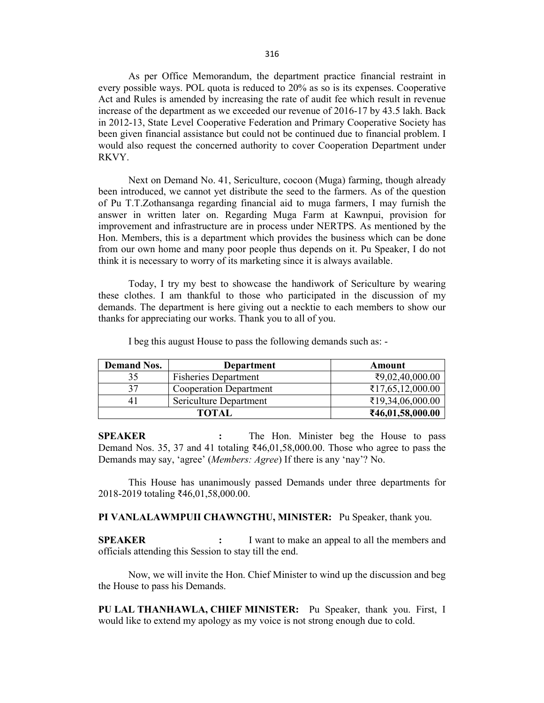As per Office Memorandum, the department practice financial restraint in every possible ways. POL quota is reduced to 20% as so is its expenses. Cooperative Act and Rules is amended by increasing the rate of audit fee which result in revenue increase of the department as we exceeded our revenue of 2016-17 by 43.5 lakh. Back in 2012-13, State Level Cooperative Federation and Primary Cooperative Society has been given financial assistance but could not be continued due to financial problem. I would also request the concerned authority to cover Cooperation Department under RKVY.

Next on Demand No. 41, Sericulture, cocoon (Muga) farming, though already been introduced, we cannot yet distribute the seed to the farmers. As of the question of Pu T.T.Zothansanga regarding financial aid to muga farmers, I may furnish the answer in written later on. Regarding Muga Farm at Kawnpui, provision for improvement and infrastructure are in process under NERTPS. As mentioned by the Hon. Members, this is a department which provides the business which can be done from our own home and many poor people thus depends on it. Pu Speaker, I do not think it is necessary to worry of its marketing since it is always available.

Today, I try my best to showcase the handiwork of Sericulture by wearing these clothes. I am thankful to those who participated in the discussion of my demands. The department is here giving out a necktie to each members to show our thanks for appreciating our works. Thank you to all of you.

| <b>Demand Nos.</b> | Department                    | Amount           |
|--------------------|-------------------------------|------------------|
| 35                 | <b>Fisheries Department</b>   | ₹9,02,40,000.00  |
| 37                 | <b>Cooperation Department</b> | ₹17,65,12,000.00 |
|                    | Sericulture Department        | ₹19,34,06,000.00 |
| TOTAL              |                               | ₹46,01,58,000.00 |

I beg this august House to pass the following demands such as: -

**SPEAKER :** The Hon. Minister beg the House to pass Demand Nos. 35, 37 and 41 totaling ₹46,01,58,000.00. Those who agree to pass the Demands may say, 'agree' (*Members: Agree*) If there is any 'nay'? No.

This House has unanimously passed Demands under three departments for 2018-2019 totaling ₹46,01,58,000.00.

**PI VANLALAWMPUII CHAWNGTHU, MINISTER:** Pu Speaker, thank you.

**SPEAKER :** I want to make an appeal to all the members and officials attending this Session to stay till the end.

Now, we will invite the Hon. Chief Minister to wind up the discussion and beg the House to pass his Demands.

**PU LAL THANHAWLA, CHIEF MINISTER:** Pu Speaker, thank you. First, I would like to extend my apology as my voice is not strong enough due to cold.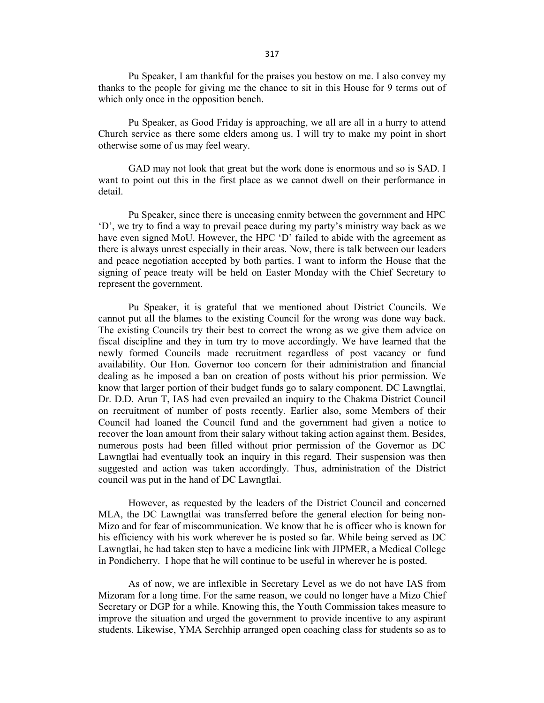Pu Speaker, I am thankful for the praises you bestow on me. I also convey my thanks to the people for giving me the chance to sit in this House for 9 terms out of which only once in the opposition bench.

Pu Speaker, as Good Friday is approaching, we all are all in a hurry to attend Church service as there some elders among us. I will try to make my point in short otherwise some of us may feel weary.

GAD may not look that great but the work done is enormous and so is SAD. I want to point out this in the first place as we cannot dwell on their performance in detail.

Pu Speaker, since there is unceasing enmity between the government and HPC 'D', we try to find a way to prevail peace during my party's ministry way back as we have even signed MoU. However, the HPC 'D' failed to abide with the agreement as there is always unrest especially in their areas. Now, there is talk between our leaders and peace negotiation accepted by both parties. I want to inform the House that the signing of peace treaty will be held on Easter Monday with the Chief Secretary to represent the government.

Pu Speaker, it is grateful that we mentioned about District Councils. We cannot put all the blames to the existing Council for the wrong was done way back. The existing Councils try their best to correct the wrong as we give them advice on fiscal discipline and they in turn try to move accordingly. We have learned that the newly formed Councils made recruitment regardless of post vacancy or fund availability. Our Hon. Governor too concern for their administration and financial dealing as he imposed a ban on creation of posts without his prior permission. We know that larger portion of their budget funds go to salary component. DC Lawngtlai, Dr. D.D. Arun T, IAS had even prevailed an inquiry to the Chakma District Council on recruitment of number of posts recently. Earlier also, some Members of their Council had loaned the Council fund and the government had given a notice to recover the loan amount from their salary without taking action against them. Besides, numerous posts had been filled without prior permission of the Governor as DC Lawngtlai had eventually took an inquiry in this regard. Their suspension was then suggested and action was taken accordingly. Thus, administration of the District council was put in the hand of DC Lawngtlai.

However, as requested by the leaders of the District Council and concerned MLA, the DC Lawngtlai was transferred before the general election for being non-Mizo and for fear of miscommunication. We know that he is officer who is known for his efficiency with his work wherever he is posted so far. While being served as DC Lawngtlai, he had taken step to have a medicine link with JIPMER, a Medical College in Pondicherry. I hope that he will continue to be useful in wherever he is posted.

As of now, we are inflexible in Secretary Level as we do not have IAS from Mizoram for a long time. For the same reason, we could no longer have a Mizo Chief Secretary or DGP for a while. Knowing this, the Youth Commission takes measure to improve the situation and urged the government to provide incentive to any aspirant students. Likewise, YMA Serchhip arranged open coaching class for students so as to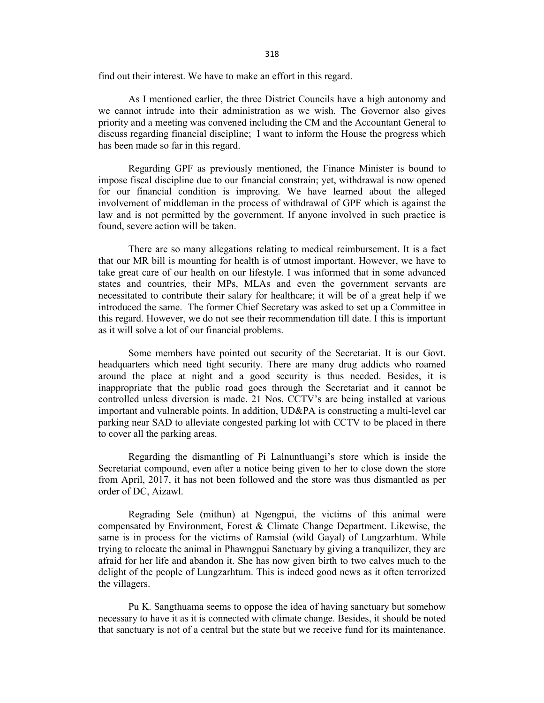318

find out their interest. We have to make an effort in this regard.

As I mentioned earlier, the three District Councils have a high autonomy and we cannot intrude into their administration as we wish. The Governor also gives priority and a meeting was convened including the CM and the Accountant General to discuss regarding financial discipline; I want to inform the House the progress which has been made so far in this regard.

Regarding GPF as previously mentioned, the Finance Minister is bound to impose fiscal discipline due to our financial constrain; yet, withdrawal is now opened for our financial condition is improving. We have learned about the alleged involvement of middleman in the process of withdrawal of GPF which is against the law and is not permitted by the government. If anyone involved in such practice is found, severe action will be taken.

There are so many allegations relating to medical reimbursement. It is a fact that our MR bill is mounting for health is of utmost important. However, we have to take great care of our health on our lifestyle. I was informed that in some advanced states and countries, their MPs, MLAs and even the government servants are necessitated to contribute their salary for healthcare; it will be of a great help if we introduced the same. The former Chief Secretary was asked to set up a Committee in this regard. However, we do not see their recommendation till date. I this is important as it will solve a lot of our financial problems.

Some members have pointed out security of the Secretariat. It is our Govt. headquarters which need tight security. There are many drug addicts who roamed around the place at night and a good security is thus needed. Besides, it is inappropriate that the public road goes through the Secretariat and it cannot be controlled unless diversion is made. 21 Nos. CCTV's are being installed at various important and vulnerable points. In addition, UD&PA is constructing a multi-level car parking near SAD to alleviate congested parking lot with CCTV to be placed in there to cover all the parking areas.

Regarding the dismantling of Pi Lalnuntluangi's store which is inside the Secretariat compound, even after a notice being given to her to close down the store from April, 2017, it has not been followed and the store was thus dismantled as per order of DC, Aizawl.

Regrading Sele (mithun) at Ngengpui, the victims of this animal were compensated by Environment, Forest & Climate Change Department. Likewise, the same is in process for the victims of Ramsial (wild Gayal) of Lungzarhtum. While trying to relocate the animal in Phawngpui Sanctuary by giving a tranquilizer, they are afraid for her life and abandon it. She has now given birth to two calves much to the delight of the people of Lungzarhtum. This is indeed good news as it often terrorized the villagers.

Pu K. Sangthuama seems to oppose the idea of having sanctuary but somehow necessary to have it as it is connected with climate change. Besides, it should be noted that sanctuary is not of a central but the state but we receive fund for its maintenance.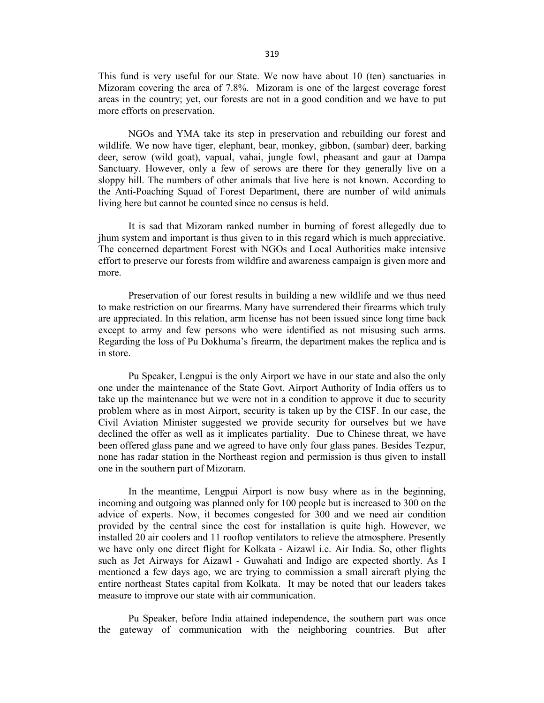This fund is very useful for our State. We now have about 10 (ten) sanctuaries in Mizoram covering the area of 7.8%. Mizoram is one of the largest coverage forest areas in the country; yet, our forests are not in a good condition and we have to put more efforts on preservation.

NGOs and YMA take its step in preservation and rebuilding our forest and wildlife. We now have tiger, elephant, bear, monkey, gibbon, (sambar) deer, barking deer, serow (wild goat), vapual, vahai, jungle fowl, pheasant and gaur at Dampa Sanctuary. However, only a few of serows are there for they generally live on a sloppy hill. The numbers of other animals that live here is not known. According to the Anti-Poaching Squad of Forest Department, there are number of wild animals living here but cannot be counted since no census is held.

It is sad that Mizoram ranked number in burning of forest allegedly due to jhum system and important is thus given to in this regard which is much appreciative. The concerned department Forest with NGOs and Local Authorities make intensive effort to preserve our forests from wildfire and awareness campaign is given more and more.

Preservation of our forest results in building a new wildlife and we thus need to make restriction on our firearms. Many have surrendered their firearms which truly are appreciated. In this relation, arm license has not been issued since long time back except to army and few persons who were identified as not misusing such arms. Regarding the loss of Pu Dokhuma's firearm, the department makes the replica and is in store.

Pu Speaker, Lengpui is the only Airport we have in our state and also the only one under the maintenance of the State Govt. Airport Authority of India offers us to take up the maintenance but we were not in a condition to approve it due to security problem where as in most Airport, security is taken up by the CISF. In our case, the Civil Aviation Minister suggested we provide security for ourselves but we have declined the offer as well as it implicates partiality. Due to Chinese threat, we have been offered glass pane and we agreed to have only four glass panes. Besides Tezpur, none has radar station in the Northeast region and permission is thus given to install one in the southern part of Mizoram.

In the meantime, Lengpui Airport is now busy where as in the beginning, incoming and outgoing was planned only for 100 people but is increased to 300 on the advice of experts. Now, it becomes congested for 300 and we need air condition provided by the central since the cost for installation is quite high. However, we installed 20 air coolers and 11 rooftop ventilators to relieve the atmosphere. Presently we have only one direct flight for Kolkata - Aizawl i.e. Air India. So, other flights such as Jet Airways for Aizawl - Guwahati and Indigo are expected shortly. As I mentioned a few days ago, we are trying to commission a small aircraft plying the entire northeast States capital from Kolkata. It may be noted that our leaders takes measure to improve our state with air communication.

Pu Speaker, before India attained independence, the southern part was once the gateway of communication with the neighboring countries. But after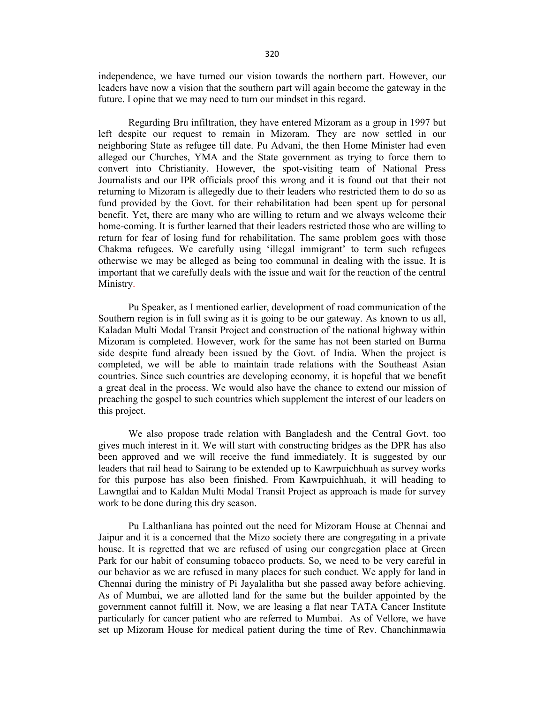independence, we have turned our vision towards the northern part. However, our leaders have now a vision that the southern part will again become the gateway in the future. I opine that we may need to turn our mindset in this regard.

Regarding Bru infiltration, they have entered Mizoram as a group in 1997 but left despite our request to remain in Mizoram. They are now settled in our neighboring State as refugee till date. Pu Advani, the then Home Minister had even alleged our Churches, YMA and the State government as trying to force them to convert into Christianity. However, the spot-visiting team of National Press Journalists and our IPR officials proof this wrong and it is found out that their not returning to Mizoram is allegedly due to their leaders who restricted them to do so as fund provided by the Govt. for their rehabilitation had been spent up for personal benefit. Yet, there are many who are willing to return and we always welcome their home-coming. It is further learned that their leaders restricted those who are willing to return for fear of losing fund for rehabilitation. The same problem goes with those Chakma refugees. We carefully using 'illegal immigrant' to term such refugees otherwise we may be alleged as being too communal in dealing with the issue. It is important that we carefully deals with the issue and wait for the reaction of the central Ministry.

Pu Speaker, as I mentioned earlier, development of road communication of the Southern region is in full swing as it is going to be our gateway. As known to us all, Kaladan Multi Modal Transit Project and construction of the national highway within Mizoram is completed. However, work for the same has not been started on Burma side despite fund already been issued by the Govt. of India. When the project is completed, we will be able to maintain trade relations with the Southeast Asian countries. Since such countries are developing economy, it is hopeful that we benefit a great deal in the process. We would also have the chance to extend our mission of preaching the gospel to such countries which supplement the interest of our leaders on this project.

We also propose trade relation with Bangladesh and the Central Govt. too gives much interest in it. We will start with constructing bridges as the DPR has also been approved and we will receive the fund immediately. It is suggested by our leaders that rail head to Sairang to be extended up to Kawrpuichhuah as survey works for this purpose has also been finished. From Kawrpuichhuah, it will heading to Lawngtlai and to Kaldan Multi Modal Transit Project as approach is made for survey work to be done during this dry season.

Pu Lalthanliana has pointed out the need for Mizoram House at Chennai and Jaipur and it is a concerned that the Mizo society there are congregating in a private house. It is regretted that we are refused of using our congregation place at Green Park for our habit of consuming tobacco products. So, we need to be very careful in our behavior as we are refused in many places for such conduct. We apply for land in Chennai during the ministry of Pi Jayalalitha but she passed away before achieving. As of Mumbai, we are allotted land for the same but the builder appointed by the government cannot fulfill it. Now, we are leasing a flat near TATA Cancer Institute particularly for cancer patient who are referred to Mumbai. As of Vellore, we have set up Mizoram House for medical patient during the time of Rev. Chanchinmawia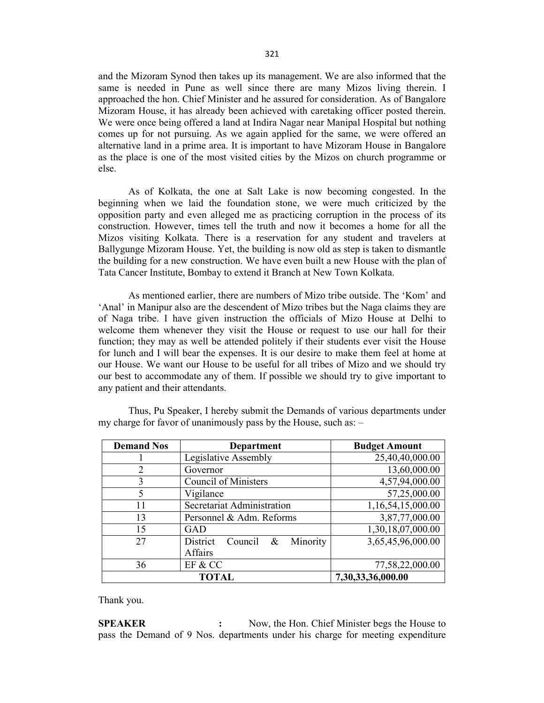and the Mizoram Synod then takes up its management. We are also informed that the same is needed in Pune as well since there are many Mizos living therein. I approached the hon. Chief Minister and he assured for consideration. As of Bangalore Mizoram House, it has already been achieved with caretaking officer posted therein. We were once being offered a land at Indira Nagar near Manipal Hospital but nothing comes up for not pursuing. As we again applied for the same, we were offered an alternative land in a prime area. It is important to have Mizoram House in Bangalore as the place is one of the most visited cities by the Mizos on church programme or else.

As of Kolkata, the one at Salt Lake is now becoming congested. In the beginning when we laid the foundation stone, we were much criticized by the opposition party and even alleged me as practicing corruption in the process of its construction. However, times tell the truth and now it becomes a home for all the Mizos visiting Kolkata. There is a reservation for any student and travelers at Ballygunge Mizoram House. Yet, the building is now old as step is taken to dismantle the building for a new construction. We have even built a new House with the plan of Tata Cancer Institute, Bombay to extend it Branch at New Town Kolkata.

As mentioned earlier, there are numbers of Mizo tribe outside. The 'Kom' and 'Anal' in Manipur also are the descendent of Mizo tribes but the Naga claims they are of Naga tribe. I have given instruction the officials of Mizo House at Delhi to welcome them whenever they visit the House or request to use our hall for their function; they may as well be attended politely if their students ever visit the House for lunch and I will bear the expenses. It is our desire to make them feel at home at our House. We want our House to be useful for all tribes of Mizo and we should try our best to accommodate any of them. If possible we should try to give important to any patient and their attendants.

| <b>Demand Nos</b> | <b>Department</b>                                             | <b>Budget Amount</b> |
|-------------------|---------------------------------------------------------------|----------------------|
|                   | Legislative Assembly                                          | 25,40,40,000.00      |
| 2                 | Governor                                                      | 13,60,000.00         |
| 3                 | <b>Council of Ministers</b>                                   | 4,57,94,000.00       |
| 5                 | Vigilance                                                     | 57,25,000.00         |
| 11                | Secretariat Administration                                    | 1,16,54,15,000.00    |
| 13                | Personnel & Adm. Reforms                                      | 3,87,77,000.00       |
| 15                | GAD                                                           | 1,30,18,07,000.00    |
| 27                | District<br>Council<br>Minority<br>$\boldsymbol{\mathcal{X}}$ | 3,65,45,96,000.00    |
|                   | Affairs                                                       |                      |
| 36                | EF & CC                                                       | 77,58,22,000.00      |
|                   | 7,30,33,36,000.00                                             |                      |

Thus, Pu Speaker, I hereby submit the Demands of various departments under my charge for favor of unanimously pass by the House, such as: –

Thank you.

**SPEAKER :** Now, the Hon. Chief Minister begs the House to pass the Demand of 9 Nos. departments under his charge for meeting expenditure